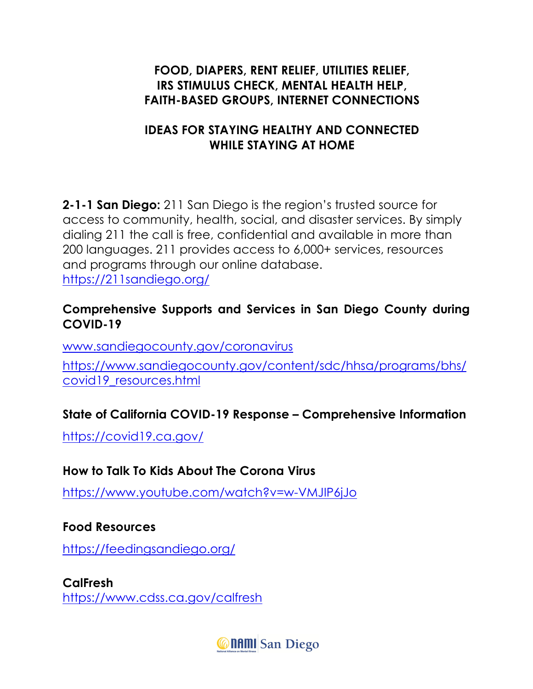#### **FOOD, DIAPERS, RENT RELIEF, UTILITIES RELIEF, IRS STIMULUS CHECK, MENTAL HEALTH HELP, FAITH-BASED GROUPS, INTERNET CONNECTIONS**

### **IDEAS FOR STAYING HEALTHY AND CONNECTED WHILE STAYING AT HOME**

**2-1-1 San Diego:** 211 San Diego is the region's trusted source for access to community, health, social, and disaster services. By simply dialing 211 the call is free, confidential and available in more than 200 languages. 211 provides access to 6,000+ services, resources and programs through our online database. https://211sandiego.org/

#### **Comprehensive Supports and Services in San Diego County during COVID-19**

www.sandiegocounty.gov/coronavirus

https://www.sandiegocounty.gov/content/sdc/hhsa/programs/bhs/ covid19\_resources.html

# **State of California COVID-19 Response – Comprehensive Information**

https://covid19.ca.gov/

# **How to Talk To Kids About The Corona Virus**

https://www.youtube.com/watch?v=w-VMJIP6jJo

#### **Food Resources**

https://feedingsandiego.org/

**CalFresh** https://www.cdss.ca.gov/calfresh